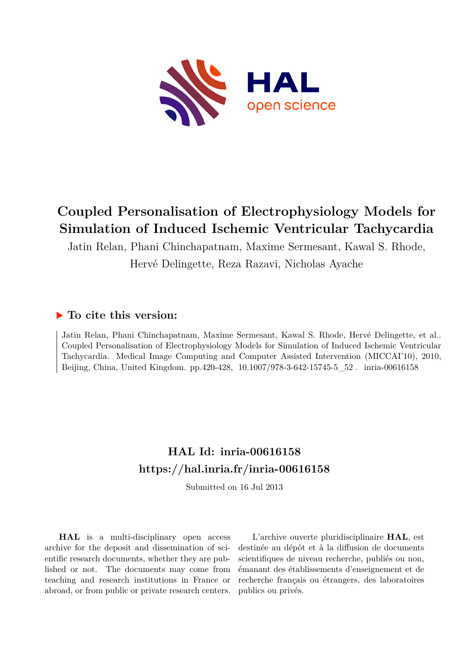

# **Coupled Personalisation of Electrophysiology Models for Simulation of Induced Ischemic Ventricular Tachycardia**

Jatin Relan, Phani Chinchapatnam, Maxime Sermesant, Kawal S. Rhode, Hervé Delingette, Reza Razavi, Nicholas Ayache

### **To cite this version:**

Jatin Relan, Phani Chinchapatnam, Maxime Sermesant, Kawal S. Rhode, Hervé Delingette, et al.. Coupled Personalisation of Electrophysiology Models for Simulation of Induced Ischemic Ventricular Tachycardia. Medical Image Computing and Computer Assisted Intervention (MICCAI'10), 2010, Beijing, China, United Kingdom. pp.420-428, 10.1007/978-3-642-15745-5\_52. inria-00616158

## **HAL Id: inria-00616158 <https://hal.inria.fr/inria-00616158>**

Submitted on 16 Jul 2013

**HAL** is a multi-disciplinary open access archive for the deposit and dissemination of scientific research documents, whether they are published or not. The documents may come from teaching and research institutions in France or abroad, or from public or private research centers.

L'archive ouverte pluridisciplinaire **HAL**, est destinée au dépôt et à la diffusion de documents scientifiques de niveau recherche, publiés ou non, émanant des établissements d'enseignement et de recherche français ou étrangers, des laboratoires publics ou privés.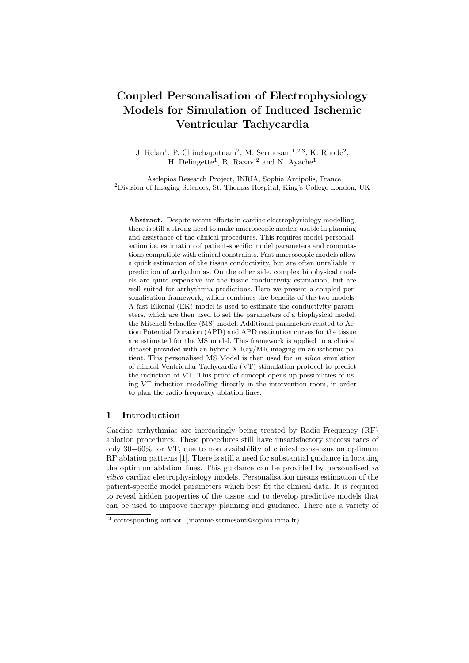## Coupled Personalisation of Electrophysiology Models for Simulation of Induced Ischemic Ventricular Tachycardia

J. Relan<sup>1</sup>, P. Chinchapatnam<sup>2</sup>, M. Sermesant<sup>1,2,3</sup>, K. Rhode<sup>2</sup>, H. Delingette<sup>1</sup>, R. Razavi<sup>2</sup> and N. Ayache<sup>1</sup>

<sup>1</sup>Asclepios Research Project, INRIA, Sophia Antipolis, France <sup>2</sup>Division of Imaging Sciences, St. Thomas Hospital, King's College London, UK

Abstract. Despite recent efforts in cardiac electrophysiology modelling, there is still a strong need to make macroscopic models usable in planning and assistance of the clinical procedures. This requires model personalisation i.e. estimation of patient-specific model parameters and computations compatible with clinical constraints. Fast macroscopic models allow a quick estimation of the tissue conductivity, but are often unreliable in prediction of arrhythmias. On the other side, complex biophysical models are quite expensive for the tissue conductivity estimation, but are well suited for arrhythmia predictions. Here we present a coupled personalisation framework, which combines the benefits of the two models. A fast Eikonal (EK) model is used to estimate the conductivity parameters, which are then used to set the parameters of a biophysical model, the Mitchell-Schaeffer (MS) model. Additional parameters related to Action Potential Duration (APD) and APD restitution curves for the tissue are estimated for the MS model. This framework is applied to a clinical dataset provided with an hybrid X-Ray/MR imaging on an ischemic patient. This personalised MS Model is then used for in silico simulation of clinical Ventricular Tachycardia (VT) stimulation protocol to predict the induction of VT. This proof of concept opens up possibilities of using VT induction modelling directly in the intervention room, in order to plan the radio-frequency ablation lines.

#### 1 Introduction

Cardiac arrhythmias are increasingly being treated by Radio-Frequency (RF) ablation procedures. These procedures still have unsatisfactory success rates of only 30−60% for VT, due to non availability of clinical consensus on optimum RF ablation patterns [1]. There is still a need for substantial guidance in locating the optimum ablation lines. This guidance can be provided by personalised in silico cardiac electrophysiology models. Personalisation means estimation of the patient-specific model parameters which best fit the clinical data. It is required to reveal hidden properties of the tissue and to develop predictive models that can be used to improve therapy planning and guidance. There are a variety of

<sup>3</sup> corresponding author. (maxime.sermesant@sophia.inria.fr)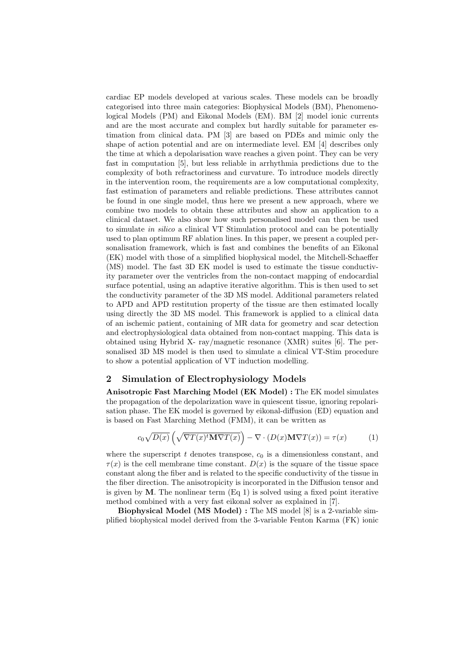cardiac EP models developed at various scales. These models can be broadly categorised into three main categories: Biophysical Models (BM), Phenomenological Models (PM) and Eikonal Models (EM). BM [2] model ionic currents and are the most accurate and complex but hardly suitable for parameter estimation from clinical data. PM [3] are based on PDEs and mimic only the shape of action potential and are on intermediate level. EM [4] describes only the time at which a depolarisation wave reaches a given point. They can be very fast in computation [5], but less reliable in arrhythmia predictions due to the complexity of both refractoriness and curvature. To introduce models directly in the intervention room, the requirements are a low computational complexity, fast estimation of parameters and reliable predictions. These attributes cannot be found in one single model, thus here we present a new approach, where we combine two models to obtain these attributes and show an application to a clinical dataset. We also show how such personalised model can then be used to simulate in silico a clinical VT Stimulation protocol and can be potentially used to plan optimum RF ablation lines. In this paper, we present a coupled personalisation framework, which is fast and combines the benefits of an Eikonal (EK) model with those of a simplified biophysical model, the Mitchell-Schaeffer (MS) model. The fast 3D EK model is used to estimate the tissue conductivity parameter over the ventricles from the non-contact mapping of endocardial surface potential, using an adaptive iterative algorithm. This is then used to set the conductivity parameter of the 3D MS model. Additional parameters related to APD and APD restitution property of the tissue are then estimated locally using directly the 3D MS model. This framework is applied to a clinical data of an ischemic patient, containing of MR data for geometry and scar detection and electrophysiological data obtained from non-contact mapping. This data is obtained using Hybrid X- ray/magnetic resonance (XMR) suites [6]. The personalised 3D MS model is then used to simulate a clinical VT-Stim procedure to show a potential application of VT induction modelling.

#### 2 Simulation of Electrophysiology Models

Anisotropic Fast Marching Model (EK Model) : The EK model simulates the propagation of the depolarization wave in quiescent tissue, ignoring repolarisation phase. The EK model is governed by eikonal-diffusion (ED) equation and is based on Fast Marching Method (FMM), it can be written as

$$
c_0 \sqrt{D(x)} \left( \sqrt{\nabla T(x)^t \mathbf{M} \nabla T(x)} \right) - \nabla \cdot (D(x) \mathbf{M} \nabla T(x)) = \tau(x) \tag{1}
$$

where the superscript t denotes transpose,  $c_0$  is a dimensionless constant, and  $\tau(x)$  is the cell membrane time constant.  $D(x)$  is the square of the tissue space constant along the fiber and is related to the specific conductivity of the tissue in the fiber direction. The anisotropicity is incorporated in the Diffusion tensor and is given by  $M$ . The nonlinear term  $(Eq 1)$  is solved using a fixed point iterative method combined with a very fast eikonal solver as explained in [7].

Biophysical Model (MS Model) : The MS model [8] is a 2-variable simplified biophysical model derived from the 3-variable Fenton Karma (FK) ionic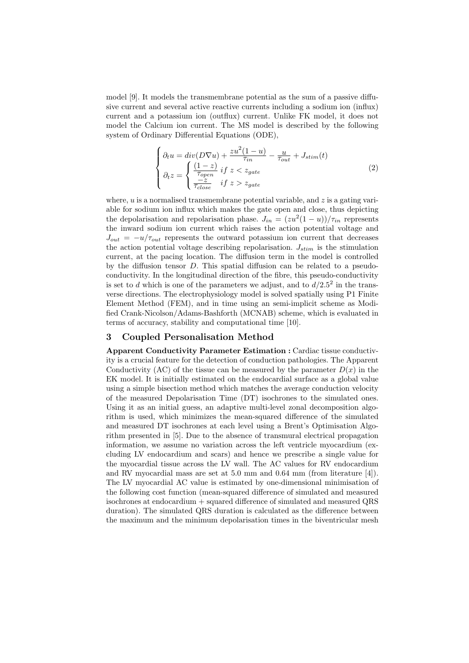model [9]. It models the transmembrane potential as the sum of a passive diffusive current and several active reactive currents including a sodium ion (influx) current and a potassium ion (outflux) current. Unlike FK model, it does not model the Calcium ion current. The MS model is described by the following system of Ordinary Differential Equations (ODE),

$$
\begin{cases}\n\partial_t u = div(D\nabla u) + \frac{zu^2(1-u)}{\tau_{in}} - \frac{u}{\tau_{out}} + J_{stim}(t) \\
\partial_t z = \begin{cases}\n\frac{(1-z)}{\tau_{open}} & \text{if } z < z_{gate} \\
\frac{-z}{\tau_{close}} & \text{if } z > z_{gate}\n\end{cases}\n\end{cases}\n\tag{2}
$$

where,  $u$  is a normalised transmembrane potential variable, and  $z$  is a gating variable for sodium ion influx which makes the gate open and close, thus depicting the depolarisation and repolarisation phase.  $J_{in} = (zu^2(1-u))/\tau_{in}$  represents the inward sodium ion current which raises the action potential voltage and  $J_{out} = -u/\tau_{out}$  represents the outward potassium ion current that decreases the action potential voltage describing repolarisation.  $J_{stim}$  is the stimulation current, at the pacing location. The diffusion term in the model is controlled by the diffusion tensor  $D$ . This spatial diffusion can be related to a pseudoconductivity. In the longitudinal direction of the fibre, this pseudo-conductivity is set to d which is one of the parameters we adjust, and to  $d/2.5^2$  in the transverse directions. The electrophysiology model is solved spatially using P1 Finite Element Method (FEM), and in time using an semi-implicit scheme as Modified Crank-Nicolson/Adams-Bashforth (MCNAB) scheme, which is evaluated in terms of accuracy, stability and computational time [10].

#### 3 Coupled Personalisation Method

Apparent Conductivity Parameter Estimation : Cardiac tissue conductivity is a crucial feature for the detection of conduction pathologies. The Apparent Conductivity (AC) of the tissue can be measured by the parameter  $D(x)$  in the EK model. It is initially estimated on the endocardial surface as a global value using a simple bisection method which matches the average conduction velocity of the measured Depolarisation Time (DT) isochrones to the simulated ones. Using it as an initial guess, an adaptive multi-level zonal decomposition algorithm is used, which minimizes the mean-squared difference of the simulated and measured DT isochrones at each level using a Brent's Optimisation Algorithm presented in [5]. Due to the absence of transmural electrical propagation information, we assume no variation across the left ventricle myocardium (excluding LV endocardium and scars) and hence we prescribe a single value for the myocardial tissue across the LV wall. The AC values for RV endocardium and RV myocardial mass are set at 5.0 mm and 0.64 mm (from literature [4]). The LV myocardial AC value is estimated by one-dimensional minimisation of the following cost function (mean-squared difference of simulated and measured isochrones at endocardium + squared difference of simulated and measured QRS duration). The simulated QRS duration is calculated as the difference between the maximum and the minimum depolarisation times in the biventricular mesh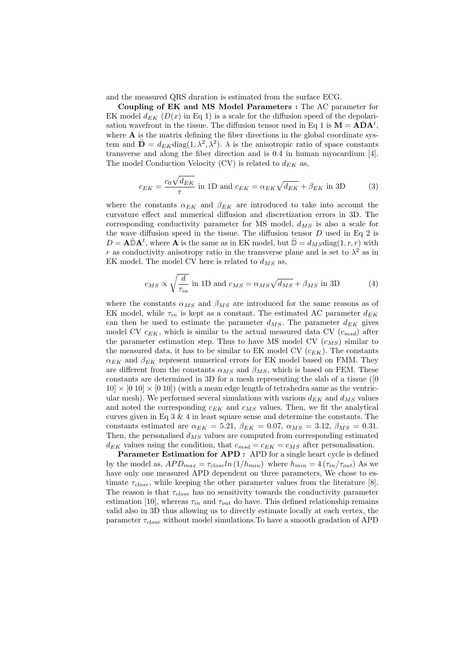and the measured QRS duration is estimated from the surface ECG.

Coupling of EK and MS Model Parameters : The AC parameter for EK model  $d_{EK}$  ( $D(x)$  in Eq 1) is a scale for the diffusion speed of the depolarisation wavefront in the tissue. The diffusion tensor used in Eq 1 is  $M = \mathbf{A} \bar{\mathbf{D}} \mathbf{A}^t$ , where  $A$  is the matrix defining the fiber directions in the global coordinate system and  $\bar{\mathbf{D}} = d_{EK} \text{diag}(1, \lambda^2, \lambda^2)$ .  $\lambda$  is the anisotropic ratio of space constants transverse and along the fiber direction and is 0.4 in human myocardium [4]. The model Conduction Velocity (CV) is related to  $d_{EK}$  as,

$$
c_{EK} = \frac{c_0 \sqrt{d_{EK}}}{\tau}
$$
 in 1D and  $c_{EK} = \alpha_{EK} \sqrt{d_{EK}} + \beta_{EK}$  in 3D (3)

where the constants  $\alpha_{EK}$  and  $\beta_{EK}$  are introduced to take into account the curvature effect and numerical diffusion and discretization errors in 3D. The corresponding conductivity parameter for MS model,  $d_{MS}$  is also a scale for the wave diffusion speed in the tissue. The diffusion tensor  $D$  used in Eq 2 is  $D = \mathbf{A} \bar{\mathbb{D}} \mathbf{A}^t$ , where  $\mathbf{A}$  is the same as in EK model, but  $\bar{\mathbb{D}} = d_{MS} \text{diag}(1, r, r)$  with r as conductivity anisotropy ratio in the transverse plane and is set to  $\lambda^2$  as in EK model. The model CV here is related to  $d_{MS}$  as,

$$
c_{MS} \propto \sqrt{\frac{d}{\tau_{in}}} \text{ in 1D and } c_{MS} = \alpha_{MS} \sqrt{d_{MS}} + \beta_{MS} \text{ in 3D}
$$
 (4)

where the constants  $\alpha_{MS}$  and  $\beta_{MS}$  are introduced for the same reasons as of EK model, while  $\tau_{in}$  is kept as a constant. The estimated AC parameter  $d_{EK}$ can then be used to estimate the parameter  $d_{MS}$ . The parameter  $d_{EK}$  gives model CV  $c_{EK}$ , which is similar to the actual measured data CV  $(c_{msd})$  after the parameter estimation step. Thus to have MS model CV  $(c_{MS})$  similar to the measured data, it has to be similar to EK model CV  $(c_{EK})$ . The constants  $\alpha_{EK}$  and  $\beta_{EK}$  represent numerical errors for EK model based on FMM. They are different from the constants  $\alpha_{MS}$  and  $\beta_{MS}$ , which is based on FEM. These constants are determined in 3D for a mesh representing the slab of a tissue ([0  $10 \times [0 10] \times [0 10]$  (with a mean edge length of tetrahedra same as the ventricular mesh). We performed several simulations with various  $d_{EK}$  and  $d_{MS}$  values and noted the corresponding  $c_{EK}$  and  $c_{MS}$  values. Then, we fit the analytical curves given in Eq 3 & 4 in least square sense and determine the constants. The constants estimated are  $\alpha_{EK} = 5.21$ ,  $\beta_{EK} = 0.07$ ,  $\alpha_{MS} = 3.12$ ,  $\beta_{MS} = 0.31$ . Then, the personalised  $d_{MS}$  values are computed from corresponding estimated  $d_{EK}$  values using the condition, that  $c_{msd} = c_{EK} = c_{MS}$  after personalisation.

Parameter Estimation for APD : APD for a single heart cycle is defined by the model as,  $APD_{max} = \tau_{close} ln (1/h_{min})$  where  $h_{min} = 4 (\tau_{in}/\tau_{out})$  As we have only one measured APD dependent on three parameters, We chose to estimate  $\tau_{close}$ , while keeping the other parameter values from the literature [8]. The reason is that  $\tau_{close}$  has no sensitivity towards the conductivity parameter estimation [10], whereas  $\tau_{in}$  and  $\tau_{out}$  do have. This defined relationship remains valid also in 3D thus allowing us to directly estimate locally at each vertex, the parameter  $\tau_{close}$  without model simulations. To have a smooth gradation of APD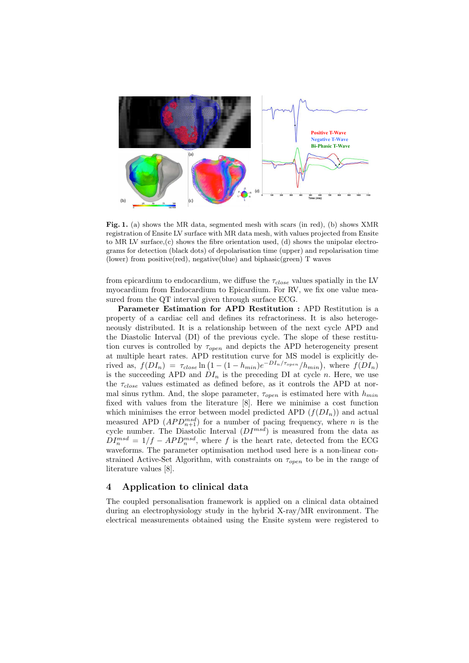

Fig. 1. (a) shows the MR data, segmented mesh with scars (in red), (b) shows XMR registration of Ensite LV surface with MR data mesh, with values projected from Ensite to MR LV surface, $(c)$  shows the fibre orientation used,  $(d)$  shows the unipolar electrograms for detection (black dots) of depolarisation time (upper) and repolarisation time (lower) from positive(red), negative(blue) and biphasic(green) T waves

from epicardium to endocardium, we diffuse the  $\tau_{close}$  values spatially in the LV myocardium from Endocardium to Epicardium. For RV, we fix one value measured from the QT interval given through surface ECG.

Parameter Estimation for APD Restitution : APD Restitution is a property of a cardiac cell and defines its refractoriness. It is also heterogeneously distributed. It is a relationship between of the next cycle APD and the Diastolic Interval (DI) of the previous cycle. The slope of these restitution curves is controlled by  $\tau_{open}$  and depicts the APD heterogeneity present at multiple heart rates. APD restitution curve for MS model is explicitly derived as,  $f(DI_n) = \tau_{close} \ln (1 - (1 - h_{min})e^{-DI_n/\tau_{open}}/h_{min}),$  where  $f(DI_n)$ is the succeeding APD and  $DI_n$  is the preceding DI at cycle n. Here, we use the  $\tau_{close}$  values estimated as defined before, as it controls the APD at normal sinus rythm. And, the slope parameter,  $\tau_{open}$  is estimated here with  $h_{min}$ fixed with values from the literature [8]. Here we minimise a cost function which minimises the error between model predicted APD  $(f(DI_n))$  and actual measured APD  $(APD_{n+1}^{msd})$  for a number of pacing frequency, where n is the cycle number. The Diastolic Interval  $(DI^{msd})$  is measured from the data as  $DI_n^{msd} = 1/f - APD_n^{msd}$ , where f is the heart rate, detected from the ECG waveforms. The parameter optimisation method used here is a non-linear constrained Active-Set Algorithm, with constraints on  $\tau_{open}$  to be in the range of literature values [8].

#### 4 Application to clinical data

The coupled personalisation framework is applied on a clinical data obtained during an electrophysiology study in the hybrid X-ray/MR environment. The electrical measurements obtained using the Ensite system were registered to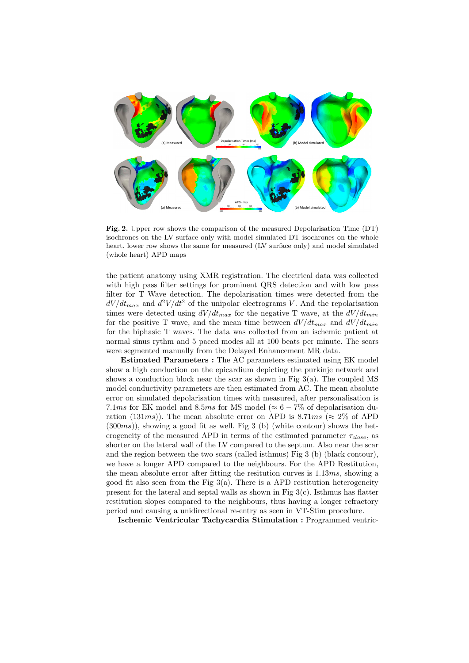

Fig. 2. Upper row shows the comparison of the measured Depolarisation Time (DT) isochrones on the LV surface only with model simulated DT isochrones on the whole heart, lower row shows the same for measured (LV surface only) and model simulated (whole heart) APD maps

the patient anatomy using XMR registration. The electrical data was collected with high pass filter settings for prominent QRS detection and with low pass filter for T Wave detection. The depolarisation times were detected from the  $dV/dt_{max}$  and  $d^2V/dt^2$  of the unipolar electrograms V. And the repolarisation times were detected using  $dV/dt_{max}$  for the negative T wave, at the  $dV/dt_{min}$ for the positive T wave, and the mean time between  $dV/dt_{max}$  and  $dV/dt_{min}$ for the biphasic T waves. The data was collected from an ischemic patient at normal sinus rythm and 5 paced modes all at 100 beats per minute. The scars were segmented manually from the Delayed Enhancement MR data.

Estimated Parameters : The AC parameters estimated using EK model show a high conduction on the epicardium depicting the purkinje network and shows a conduction block near the scar as shown in Fig  $3(a)$ . The coupled MS model conductivity parameters are then estimated from AC. The mean absolute error on simulated depolarisation times with measured, after personalisation is 7.1ms for EK model and 8.5ms for MS model ( $\approx 6-7\%$  of depolarisation duration (131ms)). The mean absolute error on APD is 8.71ms ( $\approx 2\%$  of APD  $(300ms)$ , showing a good fit as well. Fig 3 (b) (white contour) shows the heterogeneity of the measured APD in terms of the estimated parameter  $\tau_{close}$ , as shorter on the lateral wall of the LV compared to the septum. Also near the scar and the region between the two scars (called isthmus) Fig 3 (b) (black contour), we have a longer APD compared to the neighbours. For the APD Restitution, the mean absolute error after fitting the resitution curves is  $1.13ms$ , showing a good fit also seen from the Fig  $3(a)$ . There is a APD restitution heterogeneity present for the lateral and septal walls as shown in Fig  $3(c)$ . Isthmus has flatter restitution slopes compared to the neighbours, thus having a longer refractory period and causing a unidirectional re-entry as seen in VT-Stim procedure.

Ischemic Ventricular Tachycardia Stimulation : Programmed ventric-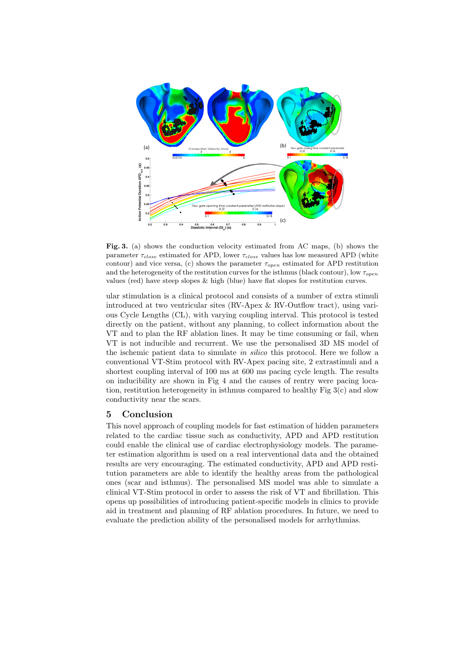

Fig. 3. (a) shows the conduction velocity estimated from AC maps, (b) shows the parameter  $\tau_{close}$  estimated for APD, lower  $\tau_{close}$  values has low measured APD (white contour) and vice versa, (c) shows the parameter  $\tau_{open}$  estimated for APD restitution and the heterogeneity of the restitution curves for the isthmus (black contour), low  $\tau_{open}$ values (red) have steep slopes & high (blue) have flat slopes for restitution curves.

ular stimulation is a clinical protocol and consists of a number of extra stimuli introduced at two ventricular sites (RV-Apex & RV-Outflow tract), using various Cycle Lengths (CL), with varying coupling interval. This protocol is tested directly on the patient, without any planning, to collect information about the VT and to plan the RF ablation lines. It may be time consuming or fail, when VT is not inducible and recurrent. We use the personalised 3D MS model of the ischemic patient data to simulate in silico this protocol. Here we follow a conventional VT-Stim protocol with RV-Apex pacing site, 2 extrastimuli and a shortest coupling interval of 100 ms at 600 ms pacing cycle length. The results on inducibility are shown in Fig 4 and the causes of rentry were pacing location, restitution heterogeneity in isthmus compared to healthy Fig  $3(c)$  and slow conductivity near the scars.

#### 5 Conclusion

This novel approach of coupling models for fast estimation of hidden parameters related to the cardiac tissue such as conductivity, APD and APD restitution could enable the clinical use of cardiac electrophysiology models. The parameter estimation algorithm is used on a real interventional data and the obtained results are very encouraging. The estimated conductivity, APD and APD restitution parameters are able to identify the healthy areas from the pathological ones (scar and isthmus). The personalised MS model was able to simulate a clinical VT-Stim protocol in order to assess the risk of VT and fibrillation. This opens up possibilities of introducing patient-specific models in clinics to provide aid in treatment and planning of RF ablation procedures. In future, we need to evaluate the prediction ability of the personalised models for arrhythmias.